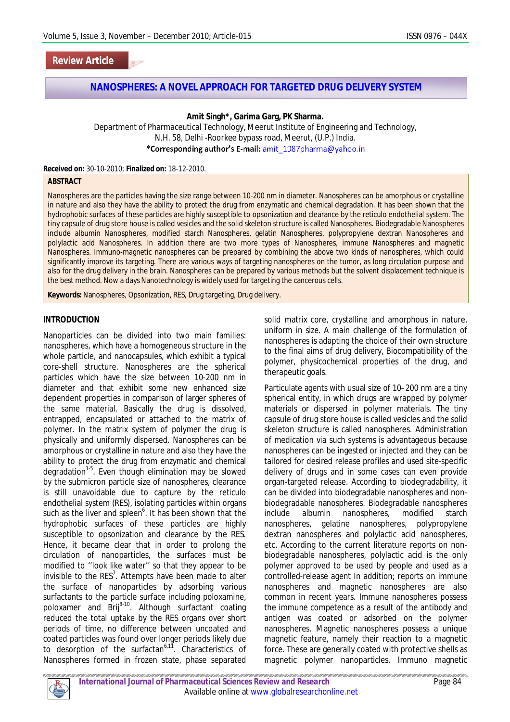## **Review Article**

## **NANOSPHERES: A NOVEL APPROACH FOR TARGETED DRUG DELIVERY SYSTEM**

**Amit Singh\*, Garima Garg, PK Sharma.** 

Department of Pharmaceutical Technology, Meerut Institute of Engineering and Technology, N.H. 58, Delhi -Roorkee bypass road, Meerut, (U.P.) India. \*Corresponding author's E-mail: amit 1987pharma@yahoo.in

**Received on:** 30-10-2010; **Finalized on:** 18-12-2010.

#### **ABSTRACT**

Nanospheres are the particles having the size range between 10-200 nm in diameter. Nanospheres can be amorphous or crystalline in nature and also they have the ability to protect the drug from enzymatic and chemical degradation. It has been shown that the hydrophobic surfaces of these particles are highly susceptible to opsonization and clearance by the reticulo endothelial system. The tiny capsule of drug store house is called vesicles and the solid skeleton structure is called Nanospheres. Biodegradable Nanospheres include albumin Nanospheres, modified starch Nanospheres, gelatin Nanospheres, polypropylene dextran Nanospheres and polylactic acid Nanospheres. In addition there are two more types of Nanospheres, immune Nanospheres and magnetic Nanospheres. Immuno-magnetic nanospheres can be prepared by combining the above two kinds of nanospheres, which could significantly improve its targeting. There are various ways of targeting nanospheres on the tumor, as long circulation purpose and also for the drug delivery in the brain. Nanospheres can be prepared by various methods but the solvent displacement technique is the best method. Now a days Nanotechnology is widely used for targeting the cancerous cells.

**Keywords:** Nanospheres, Opsonization, RES, Drug targeting, Drug delivery.

#### **INTRODUCTION**

Nanoparticles can be divided into two main families: nanospheres, which have a homogeneous structure in the whole particle, and nanocapsules, which exhibit a typical core-shell structure. Nanospheres are the spherical particles which have the size between 10-200 nm in diameter and that exhibit some new enhanced size dependent properties in comparison of larger spheres of the same material. Basically the drug is dissolved, entrapped, encapsulated or attached to the matrix of polymer. In the matrix system of polymer the drug is physically and uniformly dispersed. Nanospheres can be amorphous or crystalline in nature and also they have the ability to protect the drug from enzymatic and chemical degradation<sup>1-5</sup>. Even though elimination may be slowed by the submicron particle size of nanospheres, clearance is still unavoidable due to capture by the reticulo endothelial system (RES), isolating particles within organs such as the liver and spleen<sup>6</sup>. It has been shown that the hydrophobic surfaces of these particles are highly susceptible to opsonization and clearance by the RES. Hence, it became clear that in order to prolong the circulation of nanoparticles, the surfaces must be modified to ''look like water'' so that they appear to be invisible to the RES<sup>7</sup>. Attempts have been made to alter the surface of nanoparticles by adsorbing various surfactants to the particle surface including poloxamine, poloxamer and  $Brij^{8-10}$ . Although surfactant coating reduced the total uptake by the RES organs over short periods of time, no difference between uncoated and coated particles was found over longer periods likely due to desorption of the surfactan<sup>6,11</sup>. Characteristics of Nanospheres formed in frozen state, phase separated solid matrix core, crystalline and amorphous in nature, uniform in size. A main challenge of the formulation of nanospheres is adapting the choice of their own structure to the final aims of drug delivery, Biocompatibility of the polymer, physicochemical properties of the drug, and therapeutic goals.

Particulate agents with usual size of 10–200 nm are a tiny spherical entity, in which drugs are wrapped by polymer materials or dispersed in polymer materials. The tiny capsule of drug store house is called vesicles and the solid skeleton structure is called nanospheres. Administration of medication via such systems is advantageous because nanospheres can be ingested or injected and they can be tailored for desired release profiles and used site-specific delivery of drugs and in some cases can even provide organ-targeted release. According to biodegradability, it can be divided into biodegradable nanospheres and nonbiodegradable nanospheres. Biodegradable nanospheres include albumin nanospheres, modified starch nanospheres, gelatine nanospheres, polypropylene dextran nanospheres and polylactic acid nanospheres, etc. According to the current literature reports on nonbiodegradable nanospheres, polylactic acid is the only polymer approved to be used by people and used as a controlled-release agent In addition; reports on immune nanospheres and magnetic nanospheres are also common in recent years. Immune nanospheres possess the immune competence as a result of the antibody and antigen was coated or adsorbed on the polymer nanospheres. Magnetic nanospheres possess a unique magnetic feature, namely their reaction to a magnetic force. These are generally coated with protective shells as magnetic polymer nanoparticles. Immuno magnetic

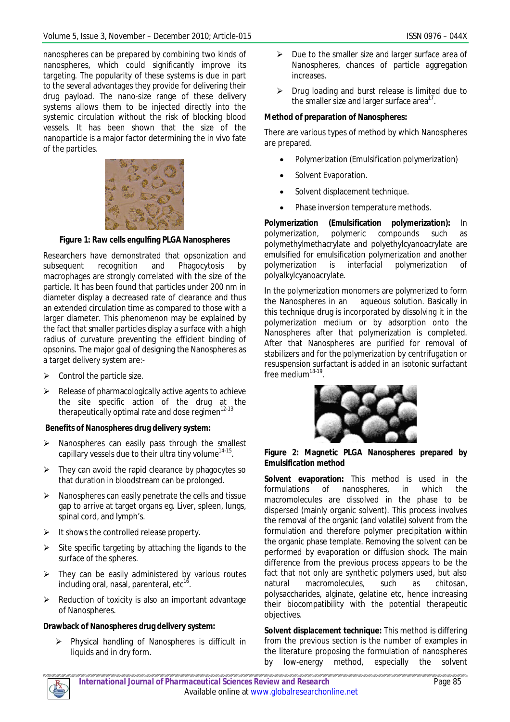nanospheres can be prepared by combining two kinds of nanospheres, which could significantly improve its targeting. The popularity of these systems is due in part to the several advantages they provide for delivering their drug payload. The nano-size range of these delivery systems allows them to be injected directly into the systemic circulation without the risk of blocking blood vessels. It has been shown that the size of the nanoparticle is a major factor determining the in vivo fate of the particles.



**Figure 1: Raw cells engulfing PLGA Nanospheres**

Researchers have demonstrated that opsonization and subsequent recognition and Phagocytosis by macrophages are strongly correlated with the size of the particle. It has been found that particles under 200 nm in diameter display a decreased rate of clearance and thus an extended circulation time as compared to those with a larger diameter. This phenomenon may be explained by the fact that smaller particles display a surface with a high radius of curvature preventing the efficient binding of opsonins. The major goal of designing the Nanospheres as a target delivery system are:-

- $\triangleright$  Control the particle size.
- $\triangleright$  Release of pharmacologically active agents to achieve the site specific action of the drug at the therapeutically optimal rate and dose regimen $12-13$

## **Benefits of Nanospheres drug delivery system:**

- $\triangleright$  Nanospheres can easily pass through the smallest capillary vessels due to their ultra tiny volume $^{\text{14-15}}$ .
- $\triangleright$  They can avoid the rapid clearance by phagocytes so that duration in bloodstream can be prolonged.
- $\triangleright$  Nanospheres can easily penetrate the cells and tissue gap to arrive at target organs eg. Liver, spleen, lungs, spinal cord, and lymph's.
- $\triangleright$  It shows the controlled release property.
- $\triangleright$  Site specific targeting by attaching the ligands to the surface of the spheres.
- $\triangleright$  They can be easily administered by various routes including oral, nasal, parenteral, etc<sup>16</sup> .
- $\triangleright$  Reduction of toxicity is also an important advantage of Nanospheres.

# **Drawback of Nanospheres drug delivery system:**

 Physical handling of Nanospheres is difficult in liquids and in dry form.

- $\triangleright$  Due to the smaller size and larger surface area of Nanospheres, chances of particle aggregation **increases**
- $\triangleright$  Drug loading and burst release is limited due to the smaller size and larger surface area $^{17}$ .

# **Method of preparation of Nanospheres:**

There are various types of method by which Nanospheres are prepared.

- Polymerization (Emulsification polymerization)
- Solvent Evaporation.
- Solvent displacement technique.
- Phase inversion temperature methods.

**Polymerization (Emulsification polymerization):** In polymerization, polymeric compounds such as polymethylmethacrylate and polyethylcyanoacrylate are emulsified for emulsification polymerization and another polymerization is interfacial polymerization of polyalkylcyanoacrylate.

In the polymerization monomers are polymerized to form the Nanospheres in an aqueous solution. Basically in this technique drug is incorporated by dissolving it in the polymerization medium or by adsorption onto the Nanospheres after that polymerization is completed. After that Nanospheres are purified for removal of stabilizers and for the polymerization by centrifugation or resuspension surfactant is added in an isotonic surfactant free medium<sup>18-19</sup>.



#### **Figure 2: Magnetic PLGA Nanospheres prepared by Emulsification method**

**Solvent evaporation:** This method is used in the formulations of nanospheres, in which the macromolecules are dissolved in the phase to be dispersed (mainly organic solvent). This process involves the removal of the organic (and volatile) solvent from the formulation and therefore polymer precipitation within the organic phase template. Removing the solvent can be performed by evaporation or diffusion shock. The main difference from the previous process appears to be the fact that not only are synthetic polymers used, but also natural macromolecules, such as chitosan, polysaccharides, alginate, gelatine etc, hence increasing their biocompatibility with the potential therapeutic objectives.

**Solvent displacement technique:** This method is differing from the previous section is the number of examples in the literature proposing the formulation of nanospheres by low-energy method, especially the solvent

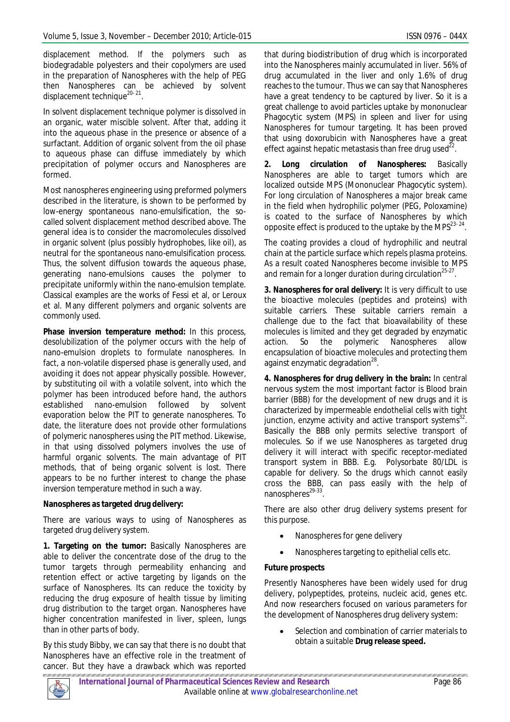displacement method. If the polymers such as biodegradable polyesters and their copolymers are used in the preparation of Nanospheres with the help of PEG then Nanospheres can be achieved by solvent displacement technique<sup>20-21</sup>.

In solvent displacement technique polymer is dissolved in an organic, water miscible solvent. After that, adding it into the aqueous phase in the presence or absence of a surfactant. Addition of organic solvent from the oil phase to aqueous phase can diffuse immediately by which precipitation of polymer occurs and Nanospheres are formed.

Most nanospheres engineering using preformed polymers described in the literature, is shown to be performed by low-energy spontaneous nano-emulsification, the socalled solvent displacement method described above. The general idea is to consider the macromolecules dissolved in organic solvent (plus possibly hydrophobes, like oil), as neutral for the spontaneous nano-emulsification process. Thus, the solvent diffusion towards the aqueous phase, generating nano-emulsions causes the polymer to precipitate uniformly within the nano-emulsion template. Classical examples are the works of Fessi et al, or Leroux et al. Many different polymers and organic solvents are commonly used.

**Phase inversion temperature method:** In this process, desolubilization of the polymer occurs with the help of nano-emulsion droplets to formulate nanospheres. In fact, a non-volatile dispersed phase is generally used, and avoiding it does not appear physically possible. However, by substituting oil with a volatile solvent, into which the polymer has been introduced before hand, the authors established nano-emulsion followed by solvent evaporation below the PIT to generate nanospheres. To date, the literature does not provide other formulations of polymeric nanospheres using the PIT method. Likewise, in that using dissolved polymers involves the use of harmful organic solvents. The main advantage of PIT methods, that of being organic solvent is lost. There appears to be no further interest to change the phase inversion temperature method in such a way.

## **Nanospheres as targeted drug delivery:**

There are various ways to using of Nanospheres as targeted drug delivery system.

**1. Targeting on the tumor:** Basically Nanospheres are able to deliver the concentrate dose of the drug to the tumor targets through permeability enhancing and retention effect or active targeting by ligands on the surface of Nanospheres. Its can reduce the toxicity by reducing the drug exposure of health tissue by limiting drug distribution to the target organ. Nanospheres have higher concentration manifested in liver, spleen, lungs than in other parts of body.

By this study Bibby, we can say that there is no doubt that Nanospheres have an effective role in the treatment of cancer. But they have a drawback which was reported that during biodistribution of drug which is incorporated into the Nanospheres mainly accumulated in liver. 56% of drug accumulated in the liver and only 1.6% of drug reaches to the tumour. Thus we can say that Nanospheres have a great tendency to be captured by liver. So it is a great challenge to avoid particles uptake by mononuclear Phagocytic system (MPS) in spleen and liver for using Nanospheres for tumour targeting. It has been proved that using doxorubicin with Nanospheres have a great effect against hepatic metastasis than free drug used $^{22}$ .

**2. Long circulation of Nanospheres:** Basically Nanospheres are able to target tumors which are localized outside MPS (Mononuclear Phagocytic system). For long circulation of Nanospheres a major break came in the field when hydrophilic polymer (PEG, Poloxamine) is coated to the surface of Nanospheres by which opposite effect is produced to the uptake by the MPS $^{23-24}$ .

The coating provides a cloud of hydrophilic and neutral chain at the particle surface which repels plasma proteins. As a result coated Nanospheres become invisible to MPS and remain for a longer duration during circulation $^{25\cdot27}.$ 

**3. Nanospheres for oral delivery:** It is very difficult to use the bioactive molecules (peptides and proteins) with suitable carriers. These suitable carriers remain a challenge due to the fact that bioavailability of these molecules is limited and they get degraded by enzymatic action. So the polymeric Nanospheres allow encapsulation of bioactive molecules and protecting them against enzymatic degradation<sup>28</sup>.

**4***.* **Nanospheres for drug delivery in the brain:** In central nervous system the most important factor is Blood brain barrier (BBB) for the development of new drugs and it is characterized by impermeable endothelial cells with tight junction, enzyme activity and active transport systems<sup>32</sup>. Basically the BBB only permits selective transport of molecules. So if we use Nanospheres as targeted drug delivery it will interact with specific receptor-mediated transport system in BBB. E.g. Polysorbate 80/LDL is capable for delivery. So the drugs which cannot easily cross the BBB, can pass easily with the help of nanospheres<sup>29-33</sup>.

There are also other drug delivery systems present for this purpose.

- Nanospheres for gene delivery
- Nanospheres targeting to epithelial cells etc.

## **Future prospects**

Presently Nanospheres have been widely used for drug delivery, polypeptides, proteins, nucleic acid, genes etc. And now researchers focused on various parameters for the development of Nanospheres drug delivery system:

 Selection and combination of carrier materials to obtain a suitable **Drug release speed.**

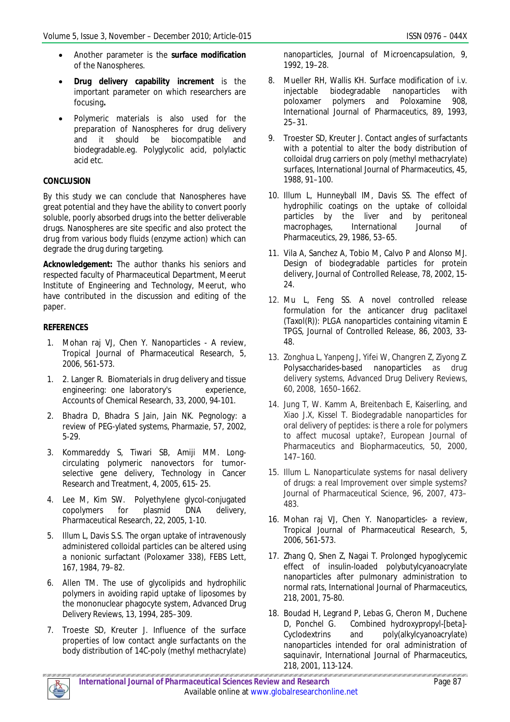- Another parameter is the **surface modification** of the Nanospheres.
- **Drug delivery capability increment** is the important parameter on which researchers are focusing**.**
- Polymeric materials is also used for the preparation of Nanospheres for drug delivery and it should be biocompatible and biodegradable.eg. Polyglycolic acid, polylactic acid etc.

# **CONCLUSION**

By this study we can conclude that Nanospheres have great potential and they have the ability to convert poorly soluble, poorly absorbed drugs into the better deliverable drugs. Nanospheres are site specific and also protect the drug from various body fluids (enzyme action) which can degrade the drug during targeting.

**Acknowledgement:** The author thanks his seniors and respected faculty of Pharmaceutical Department, Meerut Institute of Engineering and Technology, Meerut, who have contributed in the discussion and editing of the paper.

# **REFERENCES**

- 1. Mohan raj VJ, Chen Y. Nanoparticles A review, Tropical Journal of Pharmaceutical Research, 5, 2006, 561-573.
- 1. 2. Langer R. Biomaterials in drug delivery and tissue engineering: one laboratory's experience, Accounts of Chemical Research, 33, 2000, 94-101.
- 2. Bhadra D, Bhadra S Jain, Jain NK. Pegnology: a review of PEG-ylated systems, Pharmazie, 57, 2002, 5-29.
- 3. Kommareddy S, Tiwari SB, Amiji MM. Longcirculating polymeric nanovectors for tumorselective gene delivery, Technology in Cancer Research and Treatment, 4, 2005, 615- 25.
- 4. Lee M, Kim SW. Polyethylene glycol-conjugated copolymers for plasmid DNA delivery, Pharmaceutical Research, 22, 2005, 1-10.
- 5. Illum L, Davis S.S. The organ uptake of intravenously administered colloidal particles can be altered using a nonionic surfactant (Poloxamer 338), FEBS Lett, 167, 1984, 79–82.
- 6. Allen TM. The use of glycolipids and hydrophilic polymers in avoiding rapid uptake of liposomes by the mononuclear phagocyte system, Advanced Drug Delivery Reviews, 13, 1994, 285–309.
- 7. Troeste SD, Kreuter J. Influence of the surface properties of low contact angle surfactants on the body distribution of 14C-poly (methyl methacrylate)

nanoparticles, Journal of Microencapsulation, 9, 1992, 19–28.

- 8. Mueller RH, Wallis KH. Surface modification of i.v. injectable biodegradable nanoparticles with poloxamer polymers and Poloxamine 908, International Journal of Pharmaceutics, 89, 1993, 25–31.
- 9. Troester SD, Kreuter J. Contact angles of surfactants with a potential to alter the body distribution of colloidal drug carriers on poly (methyl methacrylate) surfaces, International Journal of Pharmaceutics, 45, 1988, 91–100.
- 10. Illum L, Hunneyball IM, Davis SS. The effect of hydrophilic coatings on the uptake of colloidal particles by the liver and by peritoneal macrophages, International Journal of Pharmaceutics, 29, 1986, 53–65.
- 11. Vila A, Sanchez A, Tobio M, Calvo P and Alonso MJ. Design of biodegradable particles for protein delivery, Journal of Controlled Release, 78, 2002, 15- 24.
- 12. Mu L, Feng SS. A novel controlled release formulation for the anticancer drug paclitaxel (Taxol(R)): PLGA nanoparticles containing vitamin E TPGS, Journal of Controlled Release, 86, 2003, 33- 48.
- 13. Zonghua L, Yanpeng J, Yifei W, Changren Z, Ziyong Z. Polysaccharides-based nanoparticles as drug delivery systems, Advanced Drug Delivery Reviews, 60, 2008, 1650–1662.
- 14. Jung T, W. Kamm A, Breitenbach E, Kaiserling, and Xiao J.X, Kissel T. Biodegradable nanoparticles for oral delivery of peptides: is there a role for polymers to affect mucosal uptake?, European Journal of Pharmaceutics and Biopharmaceutics, 50, 2000, 147–160.
- 15. Illum L. Nanoparticulate systems for nasal delivery of drugs: a real Improvement over simple systems? Journal of Pharmaceutical Science, 96, 2007, 473– 483.
- 16. Mohan raj VJ, Chen Y. Nanoparticles- a review, Tropical Journal of Pharmaceutical Research, 5, 2006, 561-573.
- 17. Zhang Q, Shen Z, Nagai T. Prolonged hypoglycemic effect of insulin-loaded polybutylcyanoacrylate nanoparticles after pulmonary administration to normal rats, International Journal of Pharmaceutics, 218, 2001, 75-80.
- 18. Boudad H, Legrand P, Lebas G, Cheron M, Duchene D, Ponchel G. Combined hydroxypropyl-[beta]- Cyclodextrins and poly(alkylcyanoacrylate) nanoparticles intended for oral administration of saquinavir, International Journal of Pharmaceutics, 218, 2001, 113-124.